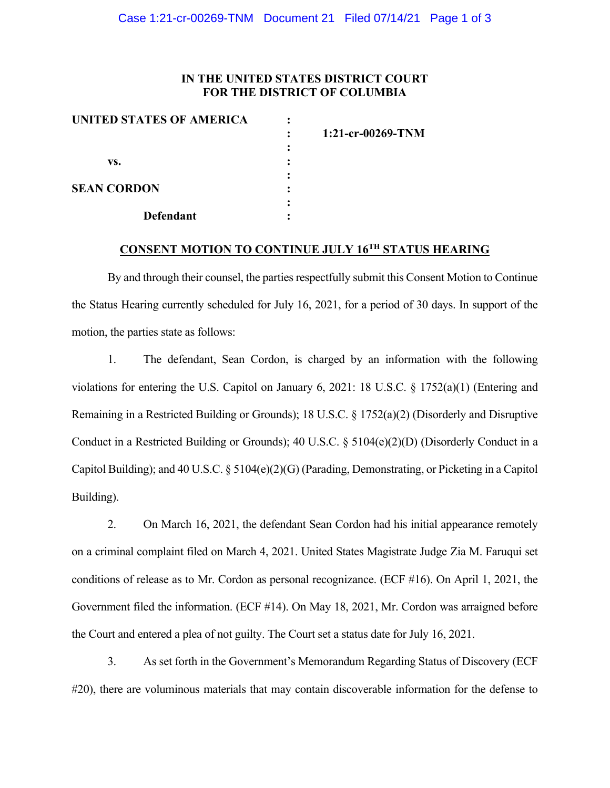### **IN THE UNITED STATES DISTRICT COURT FOR THE DISTRICT OF COLUMBIA**

| UNITED STATES OF AMERICA |                     |
|--------------------------|---------------------|
|                          | $1:21-cr-00269-TNM$ |
|                          |                     |
| VS.                      |                     |
|                          |                     |
| <b>SEAN CORDON</b>       |                     |
|                          |                     |
| <b>Defendant</b>         |                     |

# **CONSENT MOTION TO CONTINUE JULY 16TH STATUS HEARING**

By and through their counsel, the parties respectfully submit this Consent Motion to Continue the Status Hearing currently scheduled for July 16, 2021, for a period of 30 days. In support of the motion, the parties state as follows:

1. The defendant, Sean Cordon, is charged by an information with the following violations for entering the U.S. Capitol on January 6, 2021: 18 U.S.C. § 1752(a)(1) (Entering and Remaining in a Restricted Building or Grounds); 18 U.S.C. § 1752(a)(2) (Disorderly and Disruptive Conduct in a Restricted Building or Grounds); 40 U.S.C. § 5104(e)(2)(D) (Disorderly Conduct in a Capitol Building); and 40 U.S.C.  $\S 5104(e)(2)(G)$  (Parading, Demonstrating, or Picketing in a Capitol Building).

2. On March 16, 2021, the defendant Sean Cordon had his initial appearance remotely on a criminal complaint filed on March 4, 2021. United States Magistrate Judge Zia M. Faruqui set conditions of release as to Mr. Cordon as personal recognizance. (ECF #16). On April 1, 2021, the Government filed the information. (ECF #14). On May 18, 2021, Mr. Cordon was arraigned before the Court and entered a plea of not guilty. The Court set a status date for July 16, 2021.

3. As set forth in the Government's Memorandum Regarding Status of Discovery (ECF #20), there are voluminous materials that may contain discoverable information for the defense to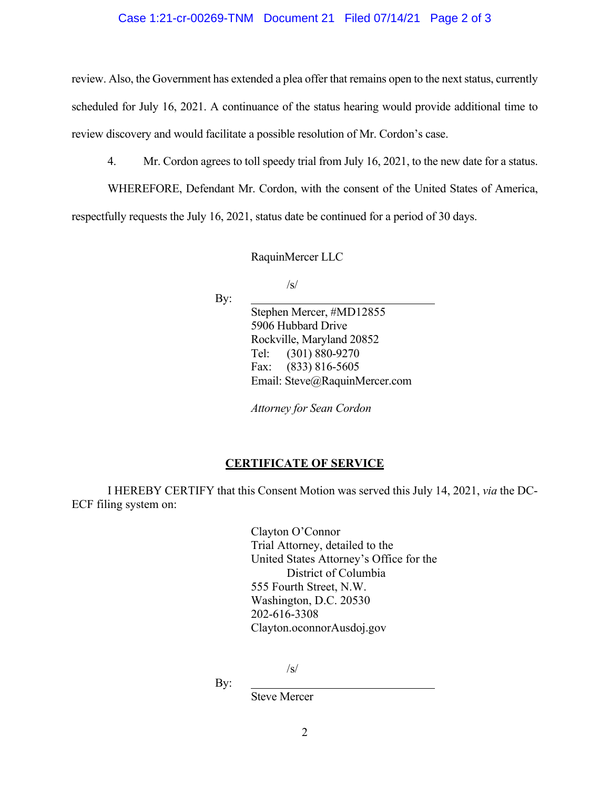#### Case 1:21-cr-00269-TNM Document 21 Filed 07/14/21 Page 2 of 3

review. Also, the Government has extended a plea offer that remains open to the next status, currently scheduled for July 16, 2021. A continuance of the status hearing would provide additional time to review discovery and would facilitate a possible resolution of Mr. Cordon's case.

4. Mr. Cordon agrees to toll speedy trial from July 16, 2021, to the new date for a status.

WHEREFORE, Defendant Mr. Cordon, with the consent of the United States of America, respectfully requests the July 16, 2021, status date be continued for a period of 30 days.

RaquinMercer LLC

/s/

By:

Stephen Mercer, #MD12855 5906 Hubbard Drive Rockville, Maryland 20852 Tel: (301) 880-9270 Fax: (833) 816-5605 Email: Steve@RaquinMercer.com

*Attorney for Sean Cordon*

### **CERTIFICATE OF SERVICE**

I HEREBY CERTIFY that this Consent Motion was served this July 14, 2021, *via* the DC-ECF filing system on:

> Clayton O'Connor Trial Attorney, detailed to the United States Attorney's Office for the District of Columbia 555 Fourth Street, N.W. Washington, D.C. 20530 202-616-3308 Clayton.oconnorAusdoj.gov

> > /s/

By:

Steve Mercer